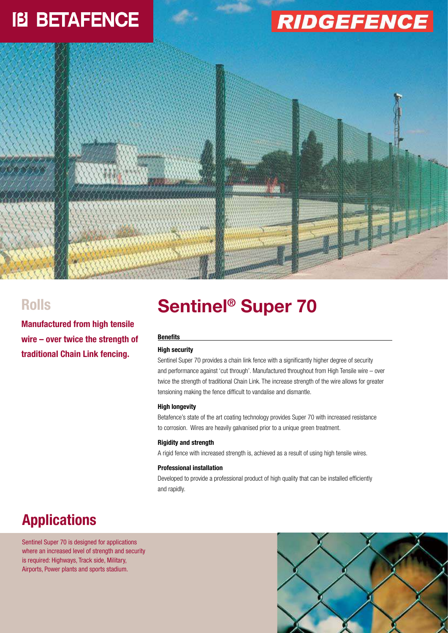## **IB BETAFENCE**

# **RIDGEFENCE**



### **Rolls**

**Manufactured from high tensile wire – over twice the strength of traditional Chain Link fencing.**

### **Sentinel® Super 70**

#### **Benefits**

#### **High security**

Sentinel Super 70 provides a chain link fence with a significantly higher degree of security and performance against 'cut through'. Manufactured throughout from High Tensile wire – over twice the strength of traditional Chain Link. The increase strength of the wire allows for greater tensioning making the fence difficult to vandalise and dismantle.

#### **High longevity**

Betafence's state of the art coating technology provides Super 70 with increased resistance to corrosion. Wires are heavily galvanised prior to a unique green treatment.

#### **Rigidity and strength**

A rigid fence with increased strength is, achieved as a result of using high tensile wires.

#### **Professional installation**

Developed to provide a professional product of high quality that can be installed efficiently and rapidly.

### **Applications**

Sentinel Super 70 is designed for applications where an increased level of strength and security is required: Highways, Track side, Military, Airports, Power plants and sports stadium.